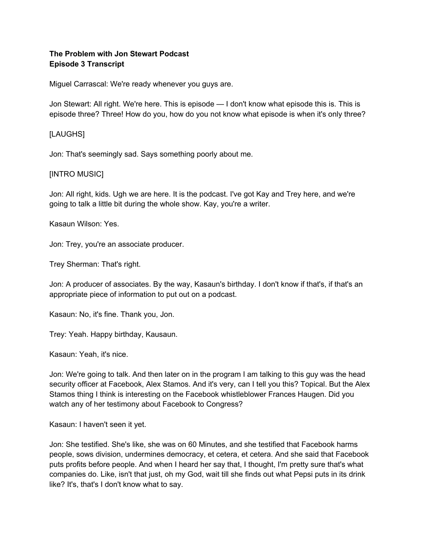# **The Problem with Jon Stewart Podcast Episode 3 Transcript**

Miguel Carrascal: We're ready whenever you guys are.

Jon Stewart: All right. We're here. This is episode — I don't know what episode this is. This is episode three? Three! How do you, how do you not know what episode is when it's only three?

## [LAUGHS]

Jon: That's seemingly sad. Says something poorly about me.

## [INTRO MUSIC]

Jon: All right, kids. Ugh we are here. It is the podcast. I've got Kay and Trey here, and we're going to talk a little bit during the whole show. Kay, you're a writer.

Kasaun Wilson: Yes.

Jon: Trey, you're an associate producer.

Trey Sherman: That's right.

Jon: A producer of associates. By the way, Kasaun's birthday. I don't know if that's, if that's an appropriate piece of information to put out on a podcast.

Kasaun: No, it's fine. Thank you, Jon.

Trey: Yeah. Happy birthday, Kausaun.

Kasaun: Yeah, it's nice.

Jon: We're going to talk. And then later on in the program I am talking to this guy was the head security officer at Facebook, Alex Stamos. And it's very, can I tell you this? Topical. But the Alex Stamos thing I think is interesting on the Facebook whistleblower Frances Haugen. Did you watch any of her testimony about Facebook to Congress?

Kasaun: I haven't seen it yet.

Jon: She testified. She's like, she was on 60 Minutes, and she testified that Facebook harms people, sows division, undermines democracy, et cetera, et cetera. And she said that Facebook puts profits before people. And when I heard her say that, I thought, I'm pretty sure that's what companies do. Like, isn't that just, oh my God, wait till she finds out what Pepsi puts in its drink like? It's, that's I don't know what to say.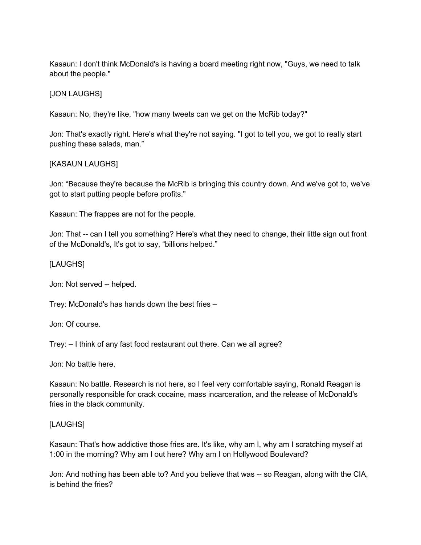Kasaun: I don't think McDonald's is having a board meeting right now, "Guys, we need to talk about the people."

# [JON LAUGHS]

Kasaun: No, they're like, "how many tweets can we get on the McRib today?"

Jon: That's exactly right. Here's what they're not saying. "I got to tell you, we got to really start pushing these salads, man."

## [KASAUN LAUGHS]

Jon: "Because they're because the McRib is bringing this country down. And we've got to, we've got to start putting people before profits."

Kasaun: The frappes are not for the people.

Jon: That -- can I tell you something? Here's what they need to change, their little sign out front of the McDonald's, It's got to say, "billions helped."

## [LAUGHS]

Jon: Not served -- helped.

Trey: McDonald's has hands down the best fries –

Jon: Of course.

Trey: – I think of any fast food restaurant out there. Can we all agree?

Jon: No battle here.

Kasaun: No battle. Research is not here, so I feel very comfortable saying, Ronald Reagan is personally responsible for crack cocaine, mass incarceration, and the release of McDonald's fries in the black community.

## [LAUGHS]

Kasaun: That's how addictive those fries are. It's like, why am I, why am I scratching myself at 1:00 in the morning? Why am I out here? Why am I on Hollywood Boulevard?

Jon: And nothing has been able to? And you believe that was -- so Reagan, along with the CIA, is behind the fries?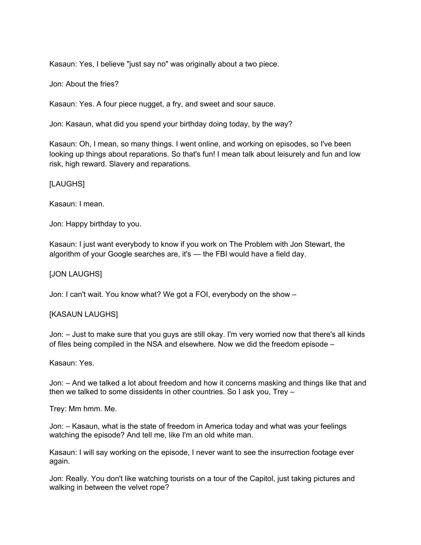Kasaun: Yes, I believe "just say no" was originally about a two piece.

Jon: About the fries?

Kasaun: Yes. A four piece nugget, a fry, and sweet and sour sauce.

Jon: Kasaun, what did you spend your birthday doing today, by the way?

Kasaun: Oh, I mean, so many things. I went online, and working on episodes, so I've been looking up things about reparations. So that's fun! I mean talk about leisurely and fun and low risk, high reward. Slavery and reparations.

## [LAUGHS]

Kasaun: I mean.

Jon: Happy birthday to you.

Kasaun: I just want everybody to know if you work on The Problem with Jon Stewart, the algorithm of your Google searches are, it's — the FBI would have a field day.

### [JON LAUGHS]

Jon: I can't wait. You know what? We got a FOI, everybody on the show –

## [KASAUN LAUGHS]

Jon: – Just to make sure that you guys are still okay. I'm very worried now that there's all kinds of files being compiled in the NSA and elsewhere. Now we did the freedom episode –

#### Kasaun: Yes.

Jon: – And we talked a lot about freedom and how it concerns masking and things like that and then we talked to some dissidents in other countries. So I ask you, Trey –

Trey: Mm hmm. Me.

Jon: – Kasaun, what is the state of freedom in America today and what was your feelings watching the episode? And tell me, like I'm an old white man.

Kasaun: I will say working on the episode, I never want to see the insurrection footage ever again.

Jon: Really. You don't like watching tourists on a tour of the Capitol, just taking pictures and walking in between the velvet rope?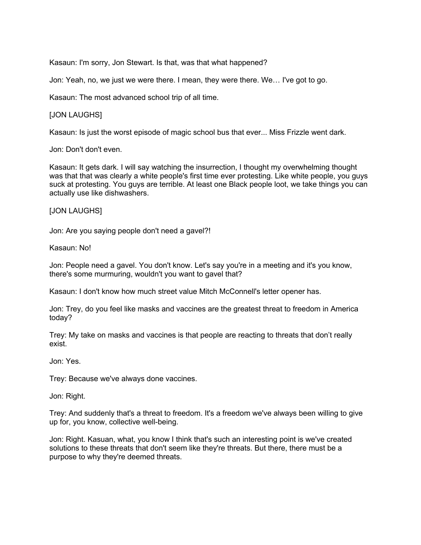Kasaun: I'm sorry, Jon Stewart. Is that, was that what happened?

Jon: Yeah, no, we just we were there. I mean, they were there. We… I've got to go.

Kasaun: The most advanced school trip of all time.

### [JON LAUGHS]

Kasaun: Is just the worst episode of magic school bus that ever... Miss Frizzle went dark.

Jon: Don't don't even.

Kasaun: It gets dark. I will say watching the insurrection, I thought my overwhelming thought was that that was clearly a white people's first time ever protesting. Like white people, you guys suck at protesting. You guys are terrible. At least one Black people loot, we take things you can actually use like dishwashers.

### [JON LAUGHS]

Jon: Are you saying people don't need a gavel?!

Kasaun: No!

Jon: People need a gavel. You don't know. Let's say you're in a meeting and it's you know, there's some murmuring, wouldn't you want to gavel that?

Kasaun: I don't know how much street value Mitch McConnell's letter opener has.

Jon: Trey, do you feel like masks and vaccines are the greatest threat to freedom in America today?

Trey: My take on masks and vaccines is that people are reacting to threats that don't really exist.

Jon: Yes.

Trey: Because we've always done vaccines.

Jon: Right.

Trey: And suddenly that's a threat to freedom. It's a freedom we've always been willing to give up for, you know, collective well-being.

Jon: Right. Kasuan, what, you know I think that's such an interesting point is we've created solutions to these threats that don't seem like they're threats. But there, there must be a purpose to why they're deemed threats.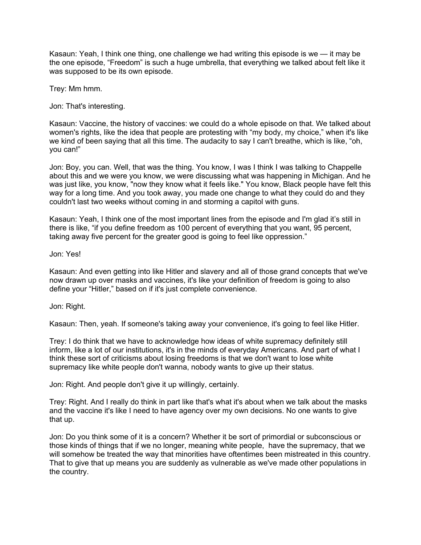Kasaun: Yeah, I think one thing, one challenge we had writing this episode is we — it may be the one episode, "Freedom" is such a huge umbrella, that everything we talked about felt like it was supposed to be its own episode.

Trey: Mm hmm.

Jon: That's interesting.

Kasaun: Vaccine, the history of vaccines: we could do a whole episode on that. We talked about women's rights, like the idea that people are protesting with "my body, my choice," when it's like we kind of been saying that all this time. The audacity to say I can't breathe, which is like, "oh, you can!"

Jon: Boy, you can. Well, that was the thing. You know, I was I think I was talking to Chappelle about this and we were you know, we were discussing what was happening in Michigan. And he was just like, you know, "now they know what it feels like." You know, Black people have felt this way for a long time. And you took away, you made one change to what they could do and they couldn't last two weeks without coming in and storming a capitol with guns.

Kasaun: Yeah, I think one of the most important lines from the episode and I'm glad it's still in there is like, "if you define freedom as 100 percent of everything that you want, 95 percent, taking away five percent for the greater good is going to feel like oppression."

Jon: Yes!

Kasaun: And even getting into like Hitler and slavery and all of those grand concepts that we've now drawn up over masks and vaccines, it's like your definition of freedom is going to also define your "Hitler," based on if it's just complete convenience.

Jon: Right.

Kasaun: Then, yeah. If someone's taking away your convenience, it's going to feel like Hitler.

Trey: I do think that we have to acknowledge how ideas of white supremacy definitely still inform, like a lot of our institutions, it's in the minds of everyday Americans. And part of what I think these sort of criticisms about losing freedoms is that we don't want to lose white supremacy like white people don't wanna, nobody wants to give up their status.

Jon: Right. And people don't give it up willingly, certainly.

Trey: Right. And I really do think in part like that's what it's about when we talk about the masks and the vaccine it's like I need to have agency over my own decisions. No one wants to give that up.

Jon: Do you think some of it is a concern? Whether it be sort of primordial or subconscious or those kinds of things that if we no longer, meaning white people, have the supremacy, that we will somehow be treated the way that minorities have oftentimes been mistreated in this country. That to give that up means you are suddenly as vulnerable as we've made other populations in the country.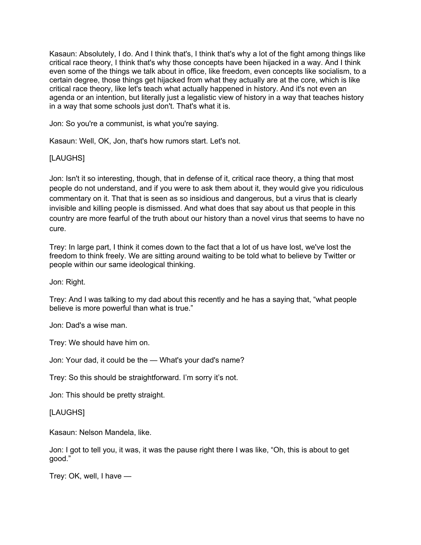Kasaun: Absolutely, I do. And I think that's, I think that's why a lot of the fight among things like critical race theory, I think that's why those concepts have been hijacked in a way. And I think even some of the things we talk about in office, like freedom, even concepts like socialism, to a certain degree, those things get hijacked from what they actually are at the core, which is like critical race theory, like let's teach what actually happened in history. And it's not even an agenda or an intention, but literally just a legalistic view of history in a way that teaches history in a way that some schools just don't. That's what it is.

Jon: So you're a communist, is what you're saying.

Kasaun: Well, OK, Jon, that's how rumors start. Let's not.

[LAUGHS]

Jon: Isn't it so interesting, though, that in defense of it, critical race theory, a thing that most people do not understand, and if you were to ask them about it, they would give you ridiculous commentary on it. That that is seen as so insidious and dangerous, but a virus that is clearly invisible and killing people is dismissed. And what does that say about us that people in this country are more fearful of the truth about our history than a novel virus that seems to have no cure.

Trey: In large part, I think it comes down to the fact that a lot of us have lost, we've lost the freedom to think freely. We are sitting around waiting to be told what to believe by Twitter or people within our same ideological thinking.

Jon: Right.

Trey: And I was talking to my dad about this recently and he has a saying that, "what people believe is more powerful than what is true."

Jon: Dad's a wise man.

Trey: We should have him on.

Jon: Your dad, it could be the — What's your dad's name?

Trey: So this should be straightforward. I'm sorry it's not.

Jon: This should be pretty straight.

[LAUGHS]

Kasaun: Nelson Mandela, like.

Jon: I got to tell you, it was, it was the pause right there I was like, "Oh, this is about to get good."

Trey: OK, well, I have —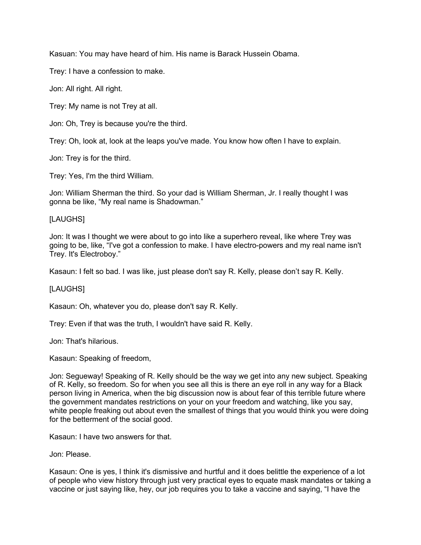Kasuan: You may have heard of him. His name is Barack Hussein Obama.

Trey: I have a confession to make.

Jon: All right. All right.

Trey: My name is not Trey at all.

Jon: Oh, Trey is because you're the third.

Trey: Oh, look at, look at the leaps you've made. You know how often I have to explain.

Jon: Trey is for the third.

Trey: Yes, I'm the third William.

Jon: William Sherman the third. So your dad is William Sherman, Jr. I really thought I was gonna be like, "My real name is Shadowman."

### [LAUGHS]

Jon: It was I thought we were about to go into like a superhero reveal, like where Trey was going to be, like, "I've got a confession to make. I have electro-powers and my real name isn't Trey. It's Electroboy."

Kasaun: I felt so bad. I was like, just please don't say R. Kelly, please don't say R. Kelly.

#### [LAUGHS]

Kasaun: Oh, whatever you do, please don't say R. Kelly.

Trey: Even if that was the truth, I wouldn't have said R. Kelly.

Jon: That's hilarious.

Kasaun: Speaking of freedom,

Jon: Segueway! Speaking of R. Kelly should be the way we get into any new subject. Speaking of R. Kelly, so freedom. So for when you see all this is there an eye roll in any way for a Black person living in America, when the big discussion now is about fear of this terrible future where the government mandates restrictions on your on your freedom and watching, like you say, white people freaking out about even the smallest of things that you would think you were doing for the betterment of the social good.

Kasaun: I have two answers for that.

Jon: Please.

Kasaun: One is yes, I think it's dismissive and hurtful and it does belittle the experience of a lot of people who view history through just very practical eyes to equate mask mandates or taking a vaccine or just saying like, hey, our job requires you to take a vaccine and saying, "I have the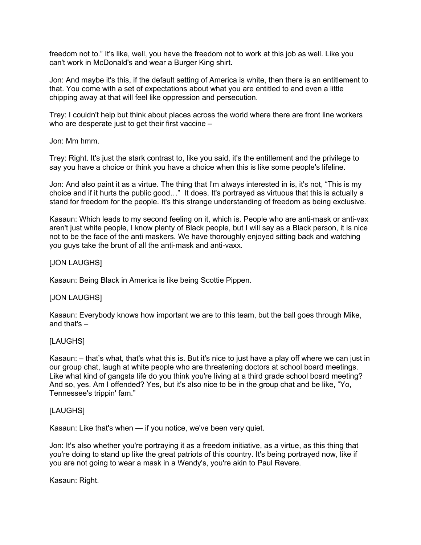freedom not to." It's like, well, you have the freedom not to work at this job as well. Like you can't work in McDonald's and wear a Burger King shirt.

Jon: And maybe it's this, if the default setting of America is white, then there is an entitlement to that. You come with a set of expectations about what you are entitled to and even a little chipping away at that will feel like oppression and persecution.

Trey: I couldn't help but think about places across the world where there are front line workers who are desperate just to get their first vaccine –

Jon: Mm hmm.

Trey: Right. It's just the stark contrast to, like you said, it's the entitlement and the privilege to say you have a choice or think you have a choice when this is like some people's lifeline.

Jon: And also paint it as a virtue. The thing that I'm always interested in is, it's not, "This is my choice and if it hurts the public good…" It does. It's portrayed as virtuous that this is actually a stand for freedom for the people. It's this strange understanding of freedom as being exclusive.

Kasaun: Which leads to my second feeling on it, which is. People who are anti-mask or anti-vax aren't just white people, I know plenty of Black people, but I will say as a Black person, it is nice not to be the face of the anti maskers. We have thoroughly enjoyed sitting back and watching you guys take the brunt of all the anti-mask and anti-vaxx.

### [JON LAUGHS]

Kasaun: Being Black in America is like being Scottie Pippen.

#### [JON LAUGHS]

Kasaun: Everybody knows how important we are to this team, but the ball goes through Mike, and that's –

## [LAUGHS]

Kasaun: – that's what, that's what this is. But it's nice to just have a play off where we can just in our group chat, laugh at white people who are threatening doctors at school board meetings. Like what kind of gangsta life do you think you're living at a third grade school board meeting? And so, yes. Am I offended? Yes, but it's also nice to be in the group chat and be like, "Yo, Tennessee's trippin' fam."

#### [LAUGHS]

Kasaun: Like that's when — if you notice, we've been very quiet.

Jon: It's also whether you're portraying it as a freedom initiative, as a virtue, as this thing that you're doing to stand up like the great patriots of this country. It's being portrayed now, like if you are not going to wear a mask in a Wendy's, you're akin to Paul Revere.

Kasaun: Right.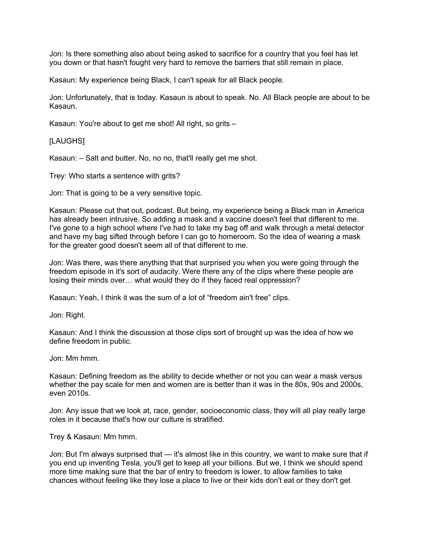Jon: Is there something also about being asked to sacrifice for a country that you feel has let you down or that hasn't fought very hard to remove the barriers that still remain in place.

Kasaun: My experience being Black, I can't speak for all Black people.

Jon: Unfortunately, that is today. Kasaun is about to speak. No. All Black people are about to be Kasaun.

Kasaun: You're about to get me shot! All right, so grits –

#### [LAUGHS]

Kasaun: – Salt and butter. No, no no, that'll really get me shot.

Trey: Who starts a sentence with grits?

Jon: That is going to be a very sensitive topic.

Kasaun: Please cut that out, podcast. But being, my experience being a Black man in America has already been intrusive. So adding a mask and a vaccine doesn't feel that different to me. I've gone to a high school where I've had to take my bag off and walk through a metal detector and have my bag sifted through before I can go to homeroom. So the idea of wearing a mask for the greater good doesn't seem all of that different to me.

Jon: Was there, was there anything that that surprised you when you were going through the freedom episode in it's sort of audacity. Were there any of the clips where these people are losing their minds over… what would they do if they faced real oppression?

Kasaun: Yeah, I think it was the sum of a lot of "freedom ain't free" clips.

Jon: Right.

Kasaun: And I think the discussion at those clips sort of brought up was the idea of how we define freedom in public.

Jon: Mm hmm.

Kasaun: Defining freedom as the ability to decide whether or not you can wear a mask versus whether the pay scale for men and women are is better than it was in the 80s, 90s and 2000s, even 2010s.

Jon: Any issue that we look at, race, gender, socioeconomic class, they will all play really large roles in it because that's how our culture is stratified.

Trey & Kasaun: Mm hmm.

Jon: But I'm always surprised that — it's almost like in this country, we want to make sure that if you end up inventing Tesla, you'll get to keep all your billions. But we, I think we should spend more time making sure that the bar of entry to freedom is lower, to allow families to take chances without feeling like they lose a place to live or their kids don't eat or they don't get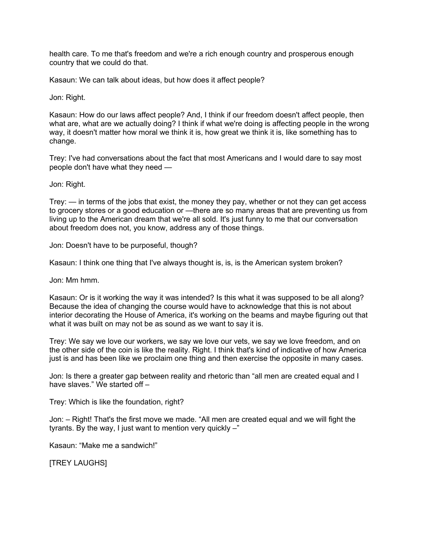health care. To me that's freedom and we're a rich enough country and prosperous enough country that we could do that.

Kasaun: We can talk about ideas, but how does it affect people?

Jon: Right.

Kasaun: How do our laws affect people? And, I think if our freedom doesn't affect people, then what are, what are we actually doing? I think if what we're doing is affecting people in the wrong way, it doesn't matter how moral we think it is, how great we think it is, like something has to change.

Trey: I've had conversations about the fact that most Americans and I would dare to say most people don't have what they need —

Jon: Right.

Trey: — in terms of the jobs that exist, the money they pay, whether or not they can get access to grocery stores or a good education or —there are so many areas that are preventing us from living up to the American dream that we're all sold. It's just funny to me that our conversation about freedom does not, you know, address any of those things.

Jon: Doesn't have to be purposeful, though?

Kasaun: I think one thing that I've always thought is, is, is the American system broken?

Jon: Mm hmm.

Kasaun: Or is it working the way it was intended? Is this what it was supposed to be all along? Because the idea of changing the course would have to acknowledge that this is not about interior decorating the House of America, it's working on the beams and maybe figuring out that what it was built on may not be as sound as we want to say it is.

Trey: We say we love our workers, we say we love our vets, we say we love freedom, and on the other side of the coin is like the reality. Right. I think that's kind of indicative of how America just is and has been like we proclaim one thing and then exercise the opposite in many cases.

Jon: Is there a greater gap between reality and rhetoric than "all men are created equal and I have slaves." We started off –

Trey: Which is like the foundation, right?

Jon: – Right! That's the first move we made. "All men are created equal and we will fight the tyrants. By the way, I just want to mention very quickly –"

Kasaun: "Make me a sandwich!"

[TREY LAUGHS]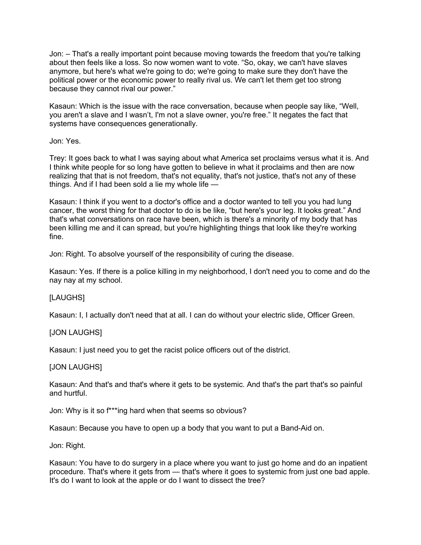Jon: – That's a really important point because moving towards the freedom that you're talking about then feels like a loss. So now women want to vote. "So, okay, we can't have slaves anymore, but here's what we're going to do; we're going to make sure they don't have the political power or the economic power to really rival us. We can't let them get too strong because they cannot rival our power."

Kasaun: Which is the issue with the race conversation, because when people say like, "Well, you aren't a slave and I wasn't, I'm not a slave owner, you're free." It negates the fact that systems have consequences generationally.

Jon: Yes.

Trey: It goes back to what I was saying about what America set proclaims versus what it is. And I think white people for so long have gotten to believe in what it proclaims and then are now realizing that that is not freedom, that's not equality, that's not justice, that's not any of these things. And if I had been sold a lie my whole life  $-$ 

Kasaun: I think if you went to a doctor's office and a doctor wanted to tell you you had lung cancer, the worst thing for that doctor to do is be like, "but here's your leg. It looks great." And that's what conversations on race have been, which is there's a minority of my body that has been killing me and it can spread, but you're highlighting things that look like they're working fine.

Jon: Right. To absolve yourself of the responsibility of curing the disease.

Kasaun: Yes. If there is a police killing in my neighborhood, I don't need you to come and do the nay nay at my school.

## [LAUGHS]

Kasaun: I, I actually don't need that at all. I can do without your electric slide, Officer Green.

## [JON LAUGHS]

Kasaun: I just need you to get the racist police officers out of the district.

#### [JON LAUGHS]

Kasaun: And that's and that's where it gets to be systemic. And that's the part that's so painful and hurtful.

Jon: Why is it so f\*\*\*ing hard when that seems so obvious?

Kasaun: Because you have to open up a body that you want to put a Band-Aid on.

Jon: Right.

Kasaun: You have to do surgery in a place where you want to just go home and do an inpatient procedure. That's where it gets from — that's where it goes to systemic from just one bad apple. It's do I want to look at the apple or do I want to dissect the tree?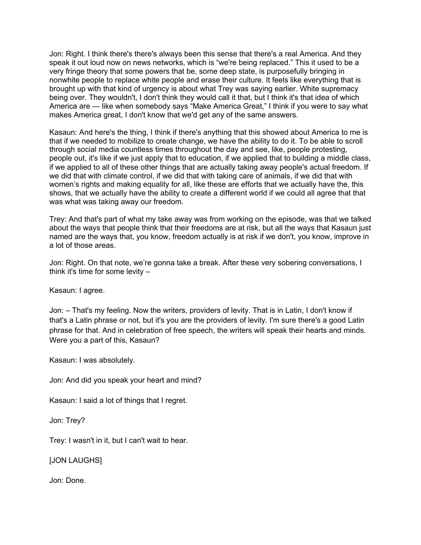Jon: Right. I think there's there's always been this sense that there's a real America. And they speak it out loud now on news networks, which is "we're being replaced." This it used to be a very fringe theory that some powers that be, some deep state, is purposefully bringing in nonwhite people to replace white people and erase their culture. It feels like everything that is brought up with that kind of urgency is about what Trey was saying earlier. White supremacy being over. They wouldn't, I don't think they would call it that, but I think it's that idea of which America are — like when somebody says "Make America Great," I think if you were to say what makes America great, I don't know that we'd get any of the same answers.

Kasaun: And here's the thing, I think if there's anything that this showed about America to me is that if we needed to mobilize to create change, we have the ability to do it. To be able to scroll through social media countless times throughout the day and see, like, people protesting, people out, it's like if we just apply that to education, if we applied that to building a middle class, if we applied to all of these other things that are actually taking away people's actual freedom. If we did that with climate control, if we did that with taking care of animals, if we did that with women's rights and making equality for all, like these are efforts that we actually have the, this shows, that we actually have the ability to create a different world if we could all agree that that was what was taking away our freedom.

Trey: And that's part of what my take away was from working on the episode, was that we talked about the ways that people think that their freedoms are at risk, but all the ways that Kasaun just named are the ways that, you know, freedom actually is at risk if we don't, you know, improve in a lot of those areas.

Jon: Right. On that note, we're gonna take a break. After these very sobering conversations, I think it's time for some levity –

Kasaun: I agree.

Jon: – That's my feeling. Now the writers, providers of levity. That is in Latin, I don't know if that's a Latin phrase or not, but it's you are the providers of levity. I'm sure there's a good Latin phrase for that. And in celebration of free speech, the writers will speak their hearts and minds. Were you a part of this, Kasaun?

Kasaun: I was absolutely.

Jon: And did you speak your heart and mind?

Kasaun: I said a lot of things that I regret.

Jon: Trey?

Trey: I wasn't in it, but I can't wait to hear.

[JON LAUGHS]

Jon: Done.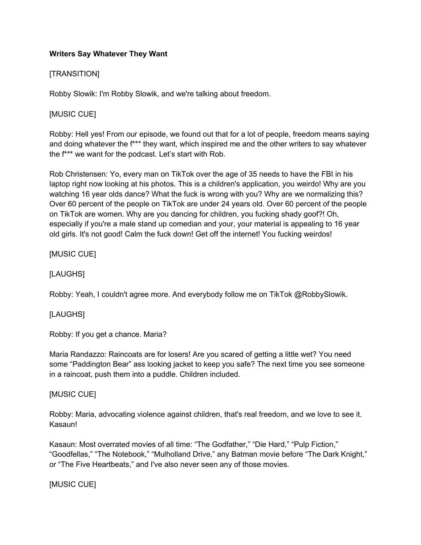# **Writers Say Whatever They Want**

# [TRANSITION]

Robby Slowik: I'm Robby Slowik, and we're talking about freedom.

# [MUSIC CUE]

Robby: Hell yes! From our episode, we found out that for a lot of people, freedom means saying and doing whatever the f\*\*\* they want, which inspired me and the other writers to say whatever the f\*\*\* we want for the podcast. Let's start with Rob.

Rob Christensen: Yo, every man on TikTok over the age of 35 needs to have the FBI in his laptop right now looking at his photos. This is a children's application, you weirdo! Why are you watching 16 year olds dance? What the fuck is wrong with you? Why are we normalizing this? Over 60 percent of the people on TikTok are under 24 years old. Over 60 percent of the people on TikTok are women. Why are you dancing for children, you fucking shady goof?! Oh, especially if you're a male stand up comedian and your, your material is appealing to 16 year old girls. It's not good! Calm the fuck down! Get off the internet! You fucking weirdos!

# [MUSIC CUE]

# [LAUGHS]

Robby: Yeah, I couldn't agree more. And everybody follow me on TikTok @RobbySlowik.

## [LAUGHS]

Robby: If you get a chance. Maria?

Maria Randazzo: Raincoats are for losers! Are you scared of getting a little wet? You need some "Paddington Bear" ass looking jacket to keep you safe? The next time you see someone in a raincoat, push them into a puddle. Children included.

## [MUSIC CUE]

Robby: Maria, advocating violence against children, that's real freedom, and we love to see it. Kasaun!

Kasaun: Most overrated movies of all time: "The Godfather," "Die Hard," "Pulp Fiction," "Goodfellas," "The Notebook," "Mulholland Drive," any Batman movie before "The Dark Knight," or "The Five Heartbeats," and I've also never seen any of those movies.

## [MUSIC CUE]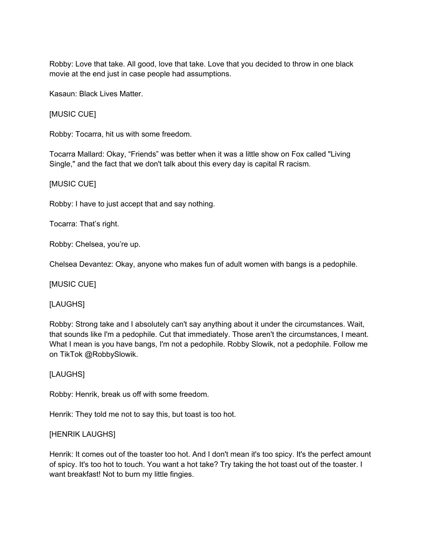Robby: Love that take. All good, love that take. Love that you decided to throw in one black movie at the end just in case people had assumptions.

Kasaun: Black Lives Matter.

[MUSIC CUE]

Robby: Tocarra, hit us with some freedom.

Tocarra Mallard: Okay, "Friends" was better when it was a little show on Fox called "Living Single," and the fact that we don't talk about this every day is capital R racism.

# [MUSIC CUE]

Robby: I have to just accept that and say nothing.

Tocarra: That's right.

Robby: Chelsea, you're up.

Chelsea Devantez: Okay, anyone who makes fun of adult women with bangs is a pedophile.

[MUSIC CUE]

[LAUGHS]

Robby: Strong take and I absolutely can't say anything about it under the circumstances. Wait, that sounds like I'm a pedophile. Cut that immediately. Those aren't the circumstances, I meant. What I mean is you have bangs, I'm not a pedophile. Robby Slowik, not a pedophile. Follow me on TikTok @RobbySlowik.

## [LAUGHS]

Robby: Henrik, break us off with some freedom.

Henrik: They told me not to say this, but toast is too hot.

## [HENRIK LAUGHS]

Henrik: It comes out of the toaster too hot. And I don't mean it's too spicy. It's the perfect amount of spicy. It's too hot to touch. You want a hot take? Try taking the hot toast out of the toaster. I want breakfast! Not to burn my little fingies.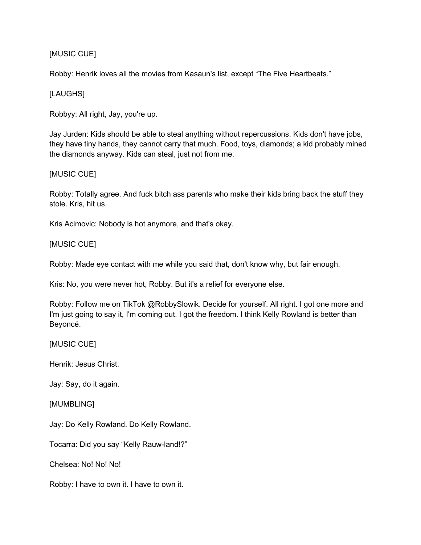# [MUSIC CUE]

Robby: Henrik loves all the movies from Kasaun's list, except "The Five Heartbeats."

## [LAUGHS]

Robbyy: All right, Jay, you're up.

Jay Jurden: Kids should be able to steal anything without repercussions. Kids don't have jobs, they have tiny hands, they cannot carry that much. Food, toys, diamonds; a kid probably mined the diamonds anyway. Kids can steal, just not from me.

### [MUSIC CUE]

Robby: Totally agree. And fuck bitch ass parents who make their kids bring back the stuff they stole. Kris, hit us.

Kris Acimovic: Nobody is hot anymore, and that's okay.

### [MUSIC CUE]

Robby: Made eye contact with me while you said that, don't know why, but fair enough.

Kris: No, you were never hot, Robby. But it's a relief for everyone else.

Robby: Follow me on TikTok @RobbySlowik. Decide for yourself. All right. I got one more and I'm just going to say it, I'm coming out. I got the freedom. I think Kelly Rowland is better than Beyoncé.

#### [MUSIC CUE]

Henrik: Jesus Christ.

Jay: Say, do it again.

#### [MUMBLING]

Jay: Do Kelly Rowland. Do Kelly Rowland.

Tocarra: Did you say "Kelly Rauw-land!?"

Chelsea: No! No! No!

Robby: I have to own it. I have to own it.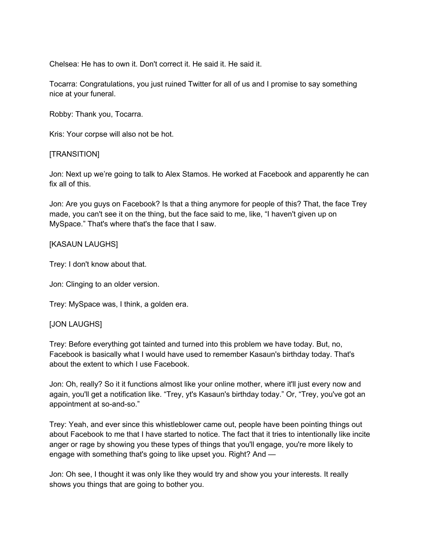Chelsea: He has to own it. Don't correct it. He said it. He said it.

Tocarra: Congratulations, you just ruined Twitter for all of us and I promise to say something nice at your funeral.

Robby: Thank you, Tocarra.

Kris: Your corpse will also not be hot.

### [TRANSITION]

Jon: Next up we're going to talk to Alex Stamos. He worked at Facebook and apparently he can fix all of this.

Jon: Are you guys on Facebook? Is that a thing anymore for people of this? That, the face Trey made, you can't see it on the thing, but the face said to me, like, "I haven't given up on MySpace." That's where that's the face that I saw.

### [KASAUN LAUGHS]

Trey: I don't know about that.

Jon: Clinging to an older version.

Trey: MySpace was, I think, a golden era.

#### [JON LAUGHS]

Trey: Before everything got tainted and turned into this problem we have today. But, no, Facebook is basically what I would have used to remember Kasaun's birthday today. That's about the extent to which I use Facebook.

Jon: Oh, really? So it it functions almost like your online mother, where it'll just every now and again, you'll get a notification like. "Trey, yt's Kasaun's birthday today." Or, "Trey, you've got an appointment at so-and-so."

Trey: Yeah, and ever since this whistleblower came out, people have been pointing things out about Facebook to me that I have started to notice. The fact that it tries to intentionally like incite anger or rage by showing you these types of things that you'll engage, you're more likely to engage with something that's going to like upset you. Right? And —

Jon: Oh see, I thought it was only like they would try and show you your interests. It really shows you things that are going to bother you.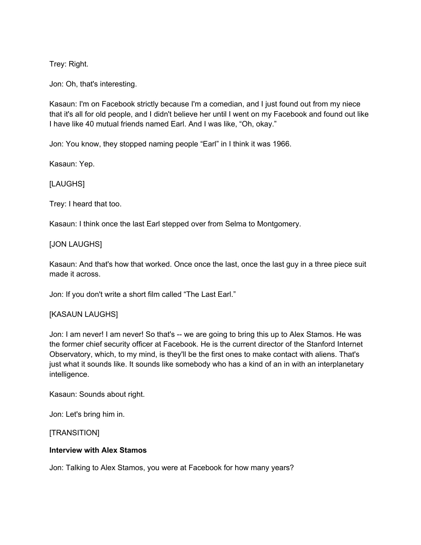Trey: Right.

Jon: Oh, that's interesting.

Kasaun: I'm on Facebook strictly because I'm a comedian, and I just found out from my niece that it's all for old people, and I didn't believe her until I went on my Facebook and found out like I have like 40 mutual friends named Earl. And I was like, "Oh, okay."

Jon: You know, they stopped naming people "Earl" in I think it was 1966.

Kasaun: Yep.

## [LAUGHS]

Trey: I heard that too.

Kasaun: I think once the last Earl stepped over from Selma to Montgomery.

### [JON LAUGHS]

Kasaun: And that's how that worked. Once once the last, once the last guy in a three piece suit made it across.

Jon: If you don't write a short film called "The Last Earl."

## [KASAUN LAUGHS]

Jon: I am never! I am never! So that's -- we are going to bring this up to Alex Stamos. He was the former chief security officer at Facebook. He is the current director of the Stanford Internet Observatory, which, to my mind, is they'll be the first ones to make contact with aliens. That's just what it sounds like. It sounds like somebody who has a kind of an in with an interplanetary intelligence.

Kasaun: Sounds about right.

Jon: Let's bring him in.

[TRANSITION]

### **Interview with Alex Stamos**

Jon: Talking to Alex Stamos, you were at Facebook for how many years?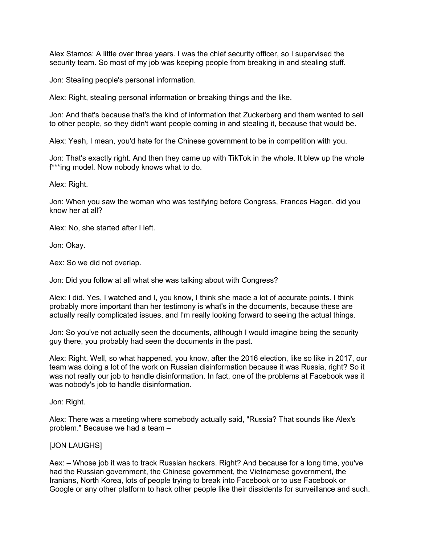Alex Stamos: A little over three years. I was the chief security officer, so I supervised the security team. So most of my job was keeping people from breaking in and stealing stuff.

Jon: Stealing people's personal information.

Alex: Right, stealing personal information or breaking things and the like.

Jon: And that's because that's the kind of information that Zuckerberg and them wanted to sell to other people, so they didn't want people coming in and stealing it, because that would be.

Alex: Yeah, I mean, you'd hate for the Chinese government to be in competition with you.

Jon: That's exactly right. And then they came up with TikTok in the whole. It blew up the whole f\*\*\*ing model. Now nobody knows what to do.

Alex: Right.

Jon: When you saw the woman who was testifying before Congress, Frances Hagen, did you know her at all?

Alex: No, she started after I left.

Jon: Okay.

Aex: So we did not overlap.

Jon: Did you follow at all what she was talking about with Congress?

Alex: I did. Yes, I watched and I, you know, I think she made a lot of accurate points. I think probably more important than her testimony is what's in the documents, because these are actually really complicated issues, and I'm really looking forward to seeing the actual things.

Jon: So you've not actually seen the documents, although I would imagine being the security guy there, you probably had seen the documents in the past.

Alex: Right. Well, so what happened, you know, after the 2016 election, like so like in 2017, our team was doing a lot of the work on Russian disinformation because it was Russia, right? So it was not really our job to handle disinformation. In fact, one of the problems at Facebook was it was nobody's job to handle disinformation.

Jon: Right.

Alex: There was a meeting where somebody actually said, "Russia? That sounds like Alex's problem." Because we had a team –

#### [JON LAUGHS]

Aex: – Whose job it was to track Russian hackers. Right? And because for a long time, you've had the Russian government, the Chinese government, the Vietnamese government, the Iranians, North Korea, lots of people trying to break into Facebook or to use Facebook or Google or any other platform to hack other people like their dissidents for surveillance and such.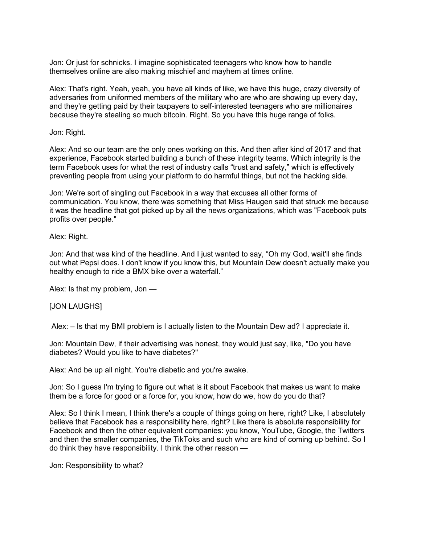Jon: Or just for schnicks. I imagine sophisticated teenagers who know how to handle themselves online are also making mischief and mayhem at times online.

Alex: That's right. Yeah, yeah, you have all kinds of like, we have this huge, crazy diversity of adversaries from uniformed members of the military who are who are showing up every day, and they're getting paid by their taxpayers to self-interested teenagers who are millionaires because they're stealing so much bitcoin. Right. So you have this huge range of folks.

Jon: Right.

Alex: And so our team are the only ones working on this. And then after kind of 2017 and that experience, Facebook started building a bunch of these integrity teams. Which integrity is the term Facebook uses for what the rest of industry calls "trust and safety," which is effectively preventing people from using your platform to do harmful things, but not the hacking side.

Jon: We're sort of singling out Facebook in a way that excuses all other forms of communication. You know, there was something that Miss Haugen said that struck me because it was the headline that got picked up by all the news organizations, which was "Facebook puts profits over people."

Alex: Right.

Jon: And that was kind of the headline. And I just wanted to say, "Oh my God, wait'll she finds out what Pepsi does. I don't know if you know this, but Mountain Dew doesn't actually make you healthy enough to ride a BMX bike over a waterfall."

Alex: Is that my problem, Jon —

#### [JON LAUGHS]

Alex: – Is that my BMI problem is I actually listen to the Mountain Dew ad? I appreciate it.

Jon: Mountain Dew, if their advertising was honest, they would just say, like, "Do you have diabetes? Would you like to have diabetes?"

Alex: And be up all night. You're diabetic and you're awake.

Jon: So I guess I'm trying to figure out what is it about Facebook that makes us want to make them be a force for good or a force for, you know, how do we, how do you do that?

Alex: So I think I mean, I think there's a couple of things going on here, right? Like, I absolutely believe that Facebook has a responsibility here, right? Like there is absolute responsibility for Facebook and then the other equivalent companies: you know, YouTube, Google, the Twitters and then the smaller companies, the TikToks and such who are kind of coming up behind. So I do think they have responsibility. I think the other reason —

Jon: Responsibility to what?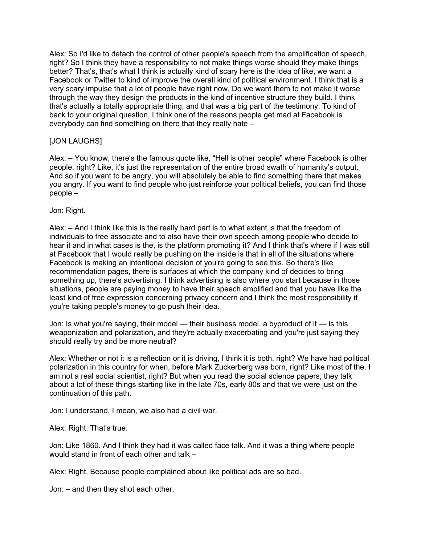Alex: So I'd like to detach the control of other people's speech from the amplification of speech, right? So I think they have a responsibility to not make things worse should they make things better? That's, that's what I think is actually kind of scary here is the idea of like, we want a Facebook or Twitter to kind of improve the overall kind of political environment. I think that is a very scary impulse that a lot of people have right now. Do we want them to not make it worse through the way they design the products in the kind of incentive structure they build. I think that's actually a totally appropriate thing, and that was a big part of the testimony. To kind of back to your original question, I think one of the reasons people get mad at Facebook is everybody can find something on there that they really hate –

## [JON LAUGHS]

Alex: – You know, there's the famous quote like, "Hell is other people" where Facebook is other people, right? Like, it's just the representation of the entire broad swath of humanity's output. And so if you want to be angry, you will absolutely be able to find something there that makes you angry. If you want to find people who just reinforce your political beliefs, you can find those people –

Jon: Right.

Alex: – And I think like this is the really hard part is to what extent is that the freedom of individuals to free associate and to also have their own speech among people who decide to hear it and in what cases is the, is the platform promoting it? And I think that's where if I was still at Facebook that I would really be pushing on the inside is that in all of the situations where Facebook is making an intentional decision of you're going to see this. So there's like recommendation pages, there is surfaces at which the company kind of decides to bring something up, there's advertising. I think advertising is also where you start because in those situations, people are paying money to have their speech amplified and that you have like the least kind of free expression concerning privacy concern and I think the most responsibility if you're taking people's money to go push their idea.

Jon: Is what you're saying, their model — their business model, a byproduct of it — is this weaponization and polarization, and they're actually exacerbating and you're just saying they should really try and be more neutral?

Alex: Whether or not it is a reflection or it is driving, I think it is both, right? We have had political polarization in this country for when, before Mark Zuckerberg was born, right? Like most of the, I am not a real social scientist, right? But when you read the social science papers, they talk about a lot of these things starting like in the late 70s, early 80s and that we were just on the continuation of this path.

Jon: I understand. I mean, we also had a civil war.

Alex: Right. That's true.

Jon: Like 1860. And I think they had it was called face talk. And it was a thing where people would stand in front of each other and talk –

Alex: Right. Because people complained about like political ads are so bad.

Jon: – and then they shot each other.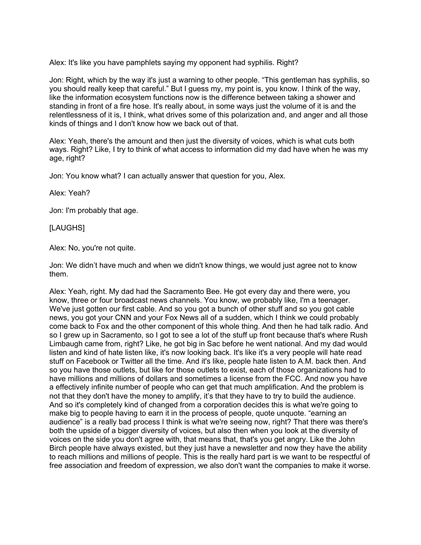Alex: It's like you have pamphlets saying my opponent had syphilis. Right?

Jon: Right, which by the way it's just a warning to other people. "This gentleman has syphilis, so you should really keep that careful." But I guess my, my point is, you know. I think of the way, like the information ecosystem functions now is the difference between taking a shower and standing in front of a fire hose. It's really about, in some ways just the volume of it is and the relentlessness of it is, I think, what drives some of this polarization and, and anger and all those kinds of things and I don't know how we back out of that.

Alex: Yeah, there's the amount and then just the diversity of voices, which is what cuts both ways. Right? Like, I try to think of what access to information did my dad have when he was my age, right?

Jon: You know what? I can actually answer that question for you, Alex.

Alex: Yeah?

Jon: I'm probably that age.

[LAUGHS]

Alex: No, you're not quite.

Jon: We didn't have much and when we didn't know things, we would just agree not to know them.

Alex: Yeah, right. My dad had the Sacramento Bee. He got every day and there were, you know, three or four broadcast news channels. You know, we probably like, I'm a teenager. We've just gotten our first cable. And so you got a bunch of other stuff and so you got cable news, you got your CNN and your Fox News all of a sudden, which I think we could probably come back to Fox and the other component of this whole thing. And then he had talk radio. And so I grew up in Sacramento, so I got to see a lot of the stuff up front because that's where Rush Limbaugh came from, right? Like, he got big in Sac before he went national. And my dad would listen and kind of hate listen like, it's now looking back. It's like it's a very people will hate read stuff on Facebook or Twitter all the time. And it's like, people hate listen to A.M. back then. And so you have those outlets, but like for those outlets to exist, each of those organizations had to have millions and millions of dollars and sometimes a license from the FCC. And now you have a effectively infinite number of people who can get that much amplification. And the problem is not that they don't have the money to amplify, it's that they have to try to build the audience. And so it's completely kind of changed from a corporation decides this is what we're going to make big to people having to earn it in the process of people, quote unquote. "earning an audience" is a really bad process I think is what we're seeing now, right? That there was there's both the upside of a bigger diversity of voices, but also then when you look at the diversity of voices on the side you don't agree with, that means that, that's you get angry. Like the John Birch people have always existed, but they just have a newsletter and now they have the ability to reach millions and millions of people. This is the really hard part is we want to be respectful of free association and freedom of expression, we also don't want the companies to make it worse.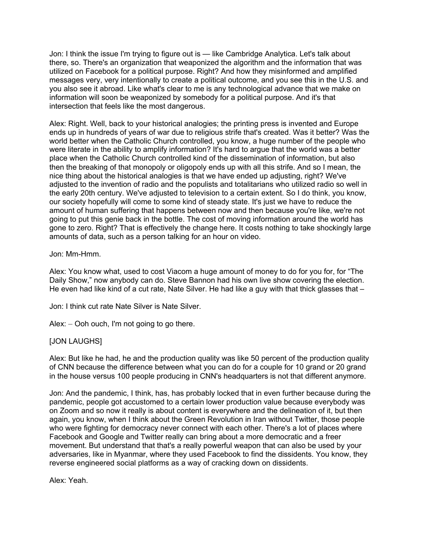Jon: I think the issue I'm trying to figure out is — like Cambridge Analytica. Let's talk about there, so. There's an organization that weaponized the algorithm and the information that was utilized on Facebook for a political purpose. Right? And how they misinformed and amplified messages very, very intentionally to create a political outcome, and you see this in the U.S. and you also see it abroad. Like what's clear to me is any technological advance that we make on information will soon be weaponized by somebody for a political purpose. And it's that intersection that feels like the most dangerous.

Alex: Right. Well, back to your historical analogies; the printing press is invented and Europe ends up in hundreds of years of war due to religious strife that's created. Was it better? Was the world better when the Catholic Church controlled, you know, a huge number of the people who were literate in the ability to amplify information? It's hard to argue that the world was a better place when the Catholic Church controlled kind of the dissemination of information, but also then the breaking of that monopoly or oligopoly ends up with all this strife. And so I mean, the nice thing about the historical analogies is that we have ended up adjusting, right? We've adjusted to the invention of radio and the populists and totalitarians who utilized radio so well in the early 20th century. We've adjusted to television to a certain extent. So I do think, you know, our society hopefully will come to some kind of steady state. It's just we have to reduce the amount of human suffering that happens between now and then because you're like, we're not going to put this genie back in the bottle. The cost of moving information around the world has gone to zero. Right? That is effectively the change here. It costs nothing to take shockingly large amounts of data, such as a person talking for an hour on video.

### Jon: Mm-Hmm.

Alex: You know what, used to cost Viacom a huge amount of money to do for you for, for "The Daily Show," now anybody can do. Steve Bannon had his own live show covering the election. He even had like kind of a cut rate, Nate Silver. He had like a guy with that thick glasses that –

Jon: I think cut rate Nate Silver is Nate Silver.

Alex: – Ooh ouch, I'm not going to go there.

## [JON LAUGHS]

Alex: But like he had, he and the production quality was like 50 percent of the production quality of CNN because the difference between what you can do for a couple for 10 grand or 20 grand in the house versus 100 people producing in CNN's headquarters is not that different anymore.

Jon: And the pandemic, I think, has, has probably locked that in even further because during the pandemic, people got accustomed to a certain lower production value because everybody was on Zoom and so now it really is about content is everywhere and the delineation of it, but then again, you know, when I think about the Green Revolution in Iran without Twitter, those people who were fighting for democracy never connect with each other. There's a lot of places where Facebook and Google and Twitter really can bring about a more democratic and a freer movement. But understand that that's a really powerful weapon that can also be used by your adversaries, like in Myanmar, where they used Facebook to find the dissidents. You know, they reverse engineered social platforms as a way of cracking down on dissidents.

Alex: Yeah.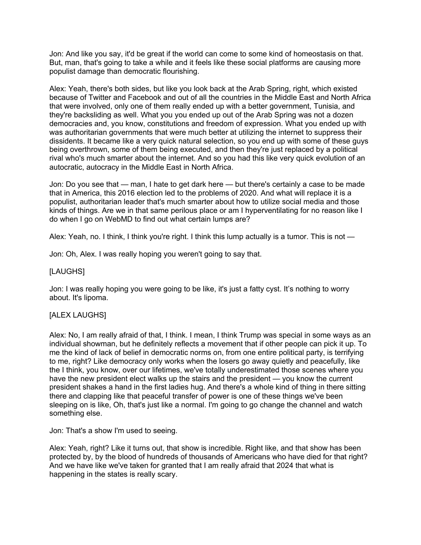Jon: And like you say, it'd be great if the world can come to some kind of homeostasis on that. But, man, that's going to take a while and it feels like these social platforms are causing more populist damage than democratic flourishing.

Alex: Yeah, there's both sides, but like you look back at the Arab Spring, right, which existed because of Twitter and Facebook and out of all the countries in the Middle East and North Africa that were involved, only one of them really ended up with a better government, Tunisia, and they're backsliding as well. What you you ended up out of the Arab Spring was not a dozen democracies and, you know, constitutions and freedom of expression. What you ended up with was authoritarian governments that were much better at utilizing the internet to suppress their dissidents. It became like a very quick natural selection, so you end up with some of these guys being overthrown, some of them being executed, and then they're just replaced by a political rival who's much smarter about the internet. And so you had this like very quick evolution of an autocratic, autocracy in the Middle East in North Africa.

Jon: Do you see that — man, I hate to get dark here — but there's certainly a case to be made that in America, this 2016 election led to the problems of 2020. And what will replace it is a populist, authoritarian leader that's much smarter about how to utilize social media and those kinds of things. Are we in that same perilous place or am I hyperventilating for no reason like I do when I go on WebMD to find out what certain lumps are?

Alex: Yeah, no. I think, I think you're right. I think this lump actually is a tumor. This is not —

Jon: Oh, Alex. I was really hoping you weren't going to say that.

### [LAUGHS]

Jon: I was really hoping you were going to be like, it's just a fatty cyst. It's nothing to worry about. It's lipoma.

## [ALEX LAUGHS]

Alex: No, I am really afraid of that, I think. I mean, I think Trump was special in some ways as an individual showman, but he definitely reflects a movement that if other people can pick it up. To me the kind of lack of belief in democratic norms on, from one entire political party, is terrifying to me, right? Like democracy only works when the losers go away quietly and peacefully, like the I think, you know, over our lifetimes, we've totally underestimated those scenes where you have the new president elect walks up the stairs and the president — you know the current president shakes a hand in the first ladies hug. And there's a whole kind of thing in there sitting there and clapping like that peaceful transfer of power is one of these things we've been sleeping on is like, Oh, that's just like a normal. I'm going to go change the channel and watch something else.

Jon: That's a show I'm used to seeing.

Alex: Yeah, right? Like it turns out, that show is incredible. Right like, and that show has been protected by, by the blood of hundreds of thousands of Americans who have died for that right? And we have like we've taken for granted that I am really afraid that 2024 that what is happening in the states is really scary.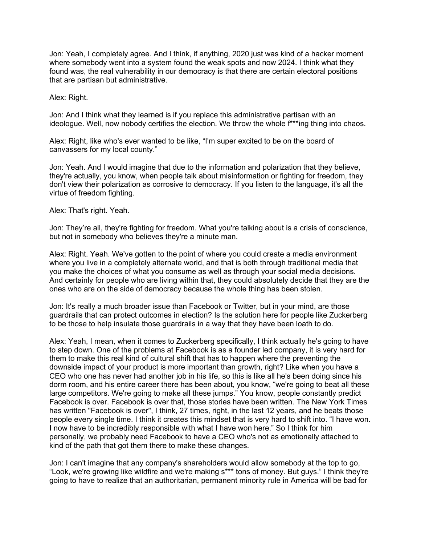Jon: Yeah, I completely agree. And I think, if anything, 2020 just was kind of a hacker moment where somebody went into a system found the weak spots and now 2024. I think what they found was, the real vulnerability in our democracy is that there are certain electoral positions that are partisan but administrative.

Alex: Right.

Jon: And I think what they learned is if you replace this administrative partisan with an ideologue. Well, now nobody certifies the election. We throw the whole f\*\*\*ing thing into chaos.

Alex: Right, like who's ever wanted to be like, "I'm super excited to be on the board of canvassers for my local county."

Jon: Yeah. And I would imagine that due to the information and polarization that they believe, they're actually, you know, when people talk about misinformation or fighting for freedom, they don't view their polarization as corrosive to democracy. If you listen to the language, it's all the virtue of freedom fighting.

Alex: That's right. Yeah.

Jon: They're all, they're fighting for freedom. What you're talking about is a crisis of conscience, but not in somebody who believes they're a minute man.

Alex: Right. Yeah. We've gotten to the point of where you could create a media environment where you live in a completely alternate world, and that is both through traditional media that you make the choices of what you consume as well as through your social media decisions. And certainly for people who are living within that, they could absolutely decide that they are the ones who are on the side of democracy because the whole thing has been stolen.

Jon: It's really a much broader issue than Facebook or Twitter, but in your mind, are those guardrails that can protect outcomes in election? Is the solution here for people like Zuckerberg to be those to help insulate those guardrails in a way that they have been loath to do.

Alex: Yeah, I mean, when it comes to Zuckerberg specifically, I think actually he's going to have to step down. One of the problems at Facebook is as a founder led company, it is very hard for them to make this real kind of cultural shift that has to happen where the preventing the downside impact of your product is more important than growth, right? Like when you have a CEO who one has never had another job in his life, so this is like all he's been doing since his dorm room, and his entire career there has been about, you know, "we're going to beat all these large competitors. We're going to make all these jumps." You know, people constantly predict Facebook is over. Facebook is over that, those stories have been written. The New York Times has written "Facebook is over", I think, 27 times, right, in the last 12 years, and he beats those people every single time. I think it creates this mindset that is very hard to shift into. "I have won. I now have to be incredibly responsible with what I have won here." So I think for him personally, we probably need Facebook to have a CEO who's not as emotionally attached to kind of the path that got them there to make these changes.

Jon: I can't imagine that any company's shareholders would allow somebody at the top to go, "Look, we're growing like wildfire and we're making s\*\*\* tons of money. But guys." I think they're going to have to realize that an authoritarian, permanent minority rule in America will be bad for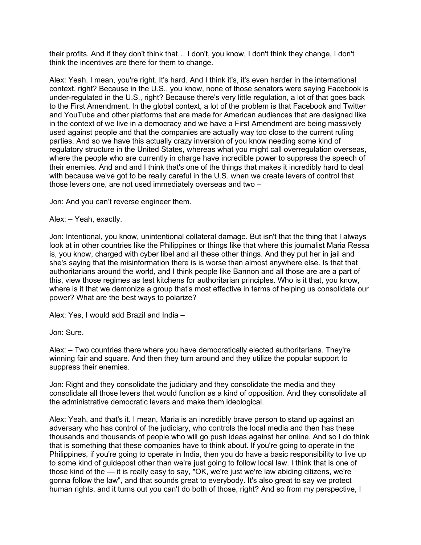their profits. And if they don't think that… I don't, you know, I don't think they change, I don't think the incentives are there for them to change.

Alex: Yeah. I mean, you're right. It's hard. And I think it's, it's even harder in the international context, right? Because in the U.S., you know, none of those senators were saying Facebook is under-regulated in the U.S., right? Because there's very little regulation, a lot of that goes back to the First Amendment. In the global context, a lot of the problem is that Facebook and Twitter and YouTube and other platforms that are made for American audiences that are designed like in the context of we live in a democracy and we have a First Amendment are being massively used against people and that the companies are actually way too close to the current ruling parties. And so we have this actually crazy inversion of you know needing some kind of regulatory structure in the United States, whereas what you might call overregulation overseas, where the people who are currently in charge have incredible power to suppress the speech of their enemies. And and and I think that's one of the things that makes it incredibly hard to deal with because we've got to be really careful in the U.S. when we create levers of control that those levers one, are not used immediately overseas and two –

Jon: And you can't reverse engineer them.

Alex: – Yeah, exactly.

Jon: Intentional, you know, unintentional collateral damage. But isn't that the thing that I always look at in other countries like the Philippines or things like that where this journalist Maria Ressa is, you know, charged with cyber libel and all these other things. And they put her in jail and she's saying that the misinformation there is is worse than almost anywhere else. Is that that authoritarians around the world, and I think people like Bannon and all those are are a part of this, view those regimes as test kitchens for authoritarian principles. Who is it that, you know, where is it that we demonize a group that's most effective in terms of helping us consolidate our power? What are the best ways to polarize?

Alex: Yes, I would add Brazil and India –

Jon: Sure.

Alex: – Two countries there where you have democratically elected authoritarians. They're winning fair and square. And then they turn around and they utilize the popular support to suppress their enemies.

Jon: Right and they consolidate the judiciary and they consolidate the media and they consolidate all those levers that would function as a kind of opposition. And they consolidate all the administrative democratic levers and make them ideological.

Alex: Yeah, and that's it. I mean, Maria is an incredibly brave person to stand up against an adversary who has control of the judiciary, who controls the local media and then has these thousands and thousands of people who will go push ideas against her online. And so I do think that is something that these companies have to think about. If you're going to operate in the Philippines, if you're going to operate in India, then you do have a basic responsibility to live up to some kind of guidepost other than we're just going to follow local law. I think that is one of those kind of the — it is really easy to say, "OK, we're just we're law abiding citizens, we're gonna follow the law", and that sounds great to everybody. It's also great to say we protect human rights, and it turns out you can't do both of those, right? And so from my perspective, I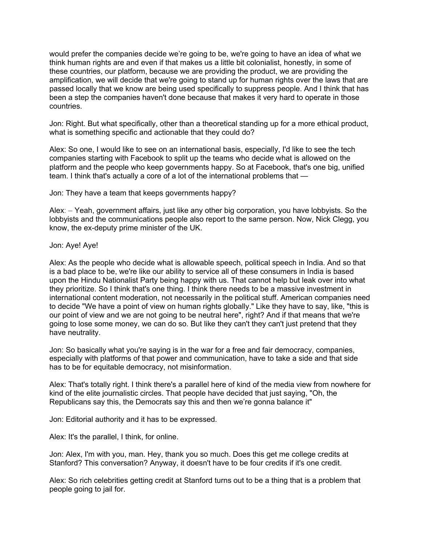would prefer the companies decide we're going to be, we're going to have an idea of what we think human rights are and even if that makes us a little bit colonialist, honestly, in some of these countries, our platform, because we are providing the product, we are providing the amplification, we will decide that we're going to stand up for human rights over the laws that are passed locally that we know are being used specifically to suppress people. And I think that has been a step the companies haven't done because that makes it very hard to operate in those countries.

Jon: Right. But what specifically, other than a theoretical standing up for a more ethical product, what is something specific and actionable that they could do?

Alex: So one, I would like to see on an international basis, especially, I'd like to see the tech companies starting with Facebook to split up the teams who decide what is allowed on the platform and the people who keep governments happy. So at Facebook, that's one big, unified team. I think that's actually a core of a lot of the international problems that —

Jon: They have a team that keeps governments happy?

Alex: – Yeah, government affairs, just like any other big corporation, you have lobbyists. So the lobbyists and the communications people also report to the same person. Now, Nick Clegg, you know, the ex-deputy prime minister of the UK.

Jon: Aye! Aye!

Alex: As the people who decide what is allowable speech, political speech in India. And so that is a bad place to be, we're like our ability to service all of these consumers in India is based upon the Hindu Nationalist Party being happy with us. That cannot help but leak over into what they prioritize. So I think that's one thing. I think there needs to be a massive investment in international content moderation, not necessarily in the political stuff. American companies need to decide "We have a point of view on human rights globally." Like they have to say, like, "this is our point of view and we are not going to be neutral here", right? And if that means that we're going to lose some money, we can do so. But like they can't they can't just pretend that they have neutrality.

Jon: So basically what you're saying is in the war for a free and fair democracy, companies, especially with platforms of that power and communication, have to take a side and that side has to be for equitable democracy, not misinformation.

Alex: That's totally right. I think there's a parallel here of kind of the media view from nowhere for kind of the elite journalistic circles. That people have decided that just saying, "Oh, the Republicans say this, the Democrats say this and then we're gonna balance it"

Jon: Editorial authority and it has to be expressed.

Alex: It's the parallel, I think, for online.

Jon: Alex, I'm with you, man. Hey, thank you so much. Does this get me college credits at Stanford? This conversation? Anyway, it doesn't have to be four credits if it's one credit.

Alex: So rich celebrities getting credit at Stanford turns out to be a thing that is a problem that people going to jail for.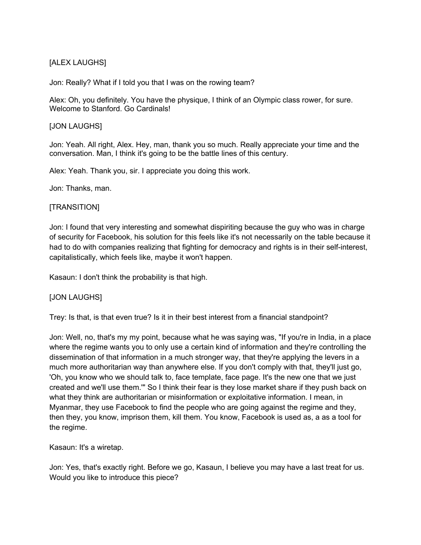# [ALEX LAUGHS]

Jon: Really? What if I told you that I was on the rowing team?

Alex: Oh, you definitely. You have the physique, I think of an Olympic class rower, for sure. Welcome to Stanford. Go Cardinals!

## [JON LAUGHS]

Jon: Yeah. All right, Alex. Hey, man, thank you so much. Really appreciate your time and the conversation. Man, I think it's going to be the battle lines of this century.

Alex: Yeah. Thank you, sir. I appreciate you doing this work.

Jon: Thanks, man.

## [TRANSITION]

Jon: I found that very interesting and somewhat dispiriting because the guy who was in charge of security for Facebook, his solution for this feels like it's not necessarily on the table because it had to do with companies realizing that fighting for democracy and rights is in their self-interest, capitalistically, which feels like, maybe it won't happen.

Kasaun: I don't think the probability is that high.

## [JON LAUGHS]

Trey: Is that, is that even true? Is it in their best interest from a financial standpoint?

Jon: Well, no, that's my my point, because what he was saying was, "If you're in India, in a place where the regime wants you to only use a certain kind of information and they're controlling the dissemination of that information in a much stronger way, that they're applying the levers in a much more authoritarian way than anywhere else. If you don't comply with that, they'll just go, 'Oh, you know who we should talk to, face template, face page. It's the new one that we just created and we'll use them.'" So I think their fear is they lose market share if they push back on what they think are authoritarian or misinformation or exploitative information. I mean, in Myanmar, they use Facebook to find the people who are going against the regime and they, then they, you know, imprison them, kill them. You know, Facebook is used as, a as a tool for the regime.

Kasaun: It's a wiretap.

Jon: Yes, that's exactly right. Before we go, Kasaun, I believe you may have a last treat for us. Would you like to introduce this piece?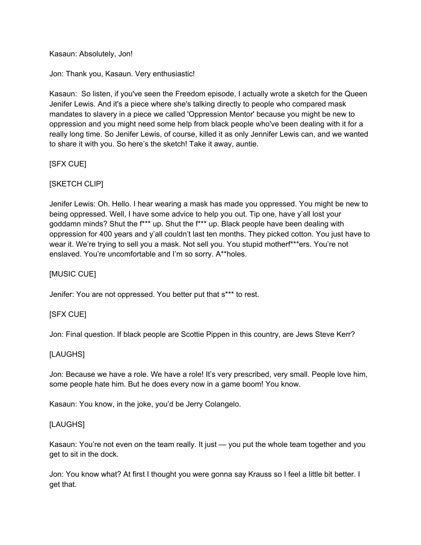Kasaun: Absolutely, Jon!

Jon: Thank you, Kasaun. Very enthusiastic!

Kasaun: So listen, if you've seen the Freedom episode, I actually wrote a sketch for the Queen Jenifer Lewis. And it's a piece where she's talking directly to people who compared mask mandates to slavery in a piece we called 'Oppression Mentor' because you might be new to oppression and you might need some help from black people who've been dealing with it for a really long time. So Jenifer Lewis, of course, killed it as only Jennifer Lewis can, and we wanted to share it with you. So here's the sketch! Take it away, auntie.

[SFX CUE]

# [SKETCH CLIP]

Jenifer Lewis: Oh. Hello. I hear wearing a mask has made you oppressed. You might be new to being oppressed. Well, I have some advice to help you out. Tip one, have y'all lost your goddamn minds? Shut the f\*\*\* up. Shut the f\*\*\* up. Black people have been dealing with oppression for 400 years and y'all couldn't last ten months. They picked cotton. You just have to wear it. We're trying to sell you a mask. Not sell you. You stupid motherf\*\*\*ers. You're not enslaved. You're uncomfortable and I'm so sorry. A\*\*holes.

[MUSIC CUE]

Jenifer: You are not oppressed. You better put that s\*\*\* to rest.

# [SFX CUE]

Jon: Final question. If black people are Scottie Pippen in this country, are Jews Steve Kerr?

## [LAUGHS]

Jon: Because we have a role. We have a role! It's very prescribed, very small. People love him, some people hate him. But he does every now in a game boom! You know.

Kasaun: You know, in the joke, you'd be Jerry Colangelo.

## [LAUGHS]

Kasaun: You're not even on the team really. It just — you put the whole team together and you get to sit in the dock.

Jon: You know what? At first I thought you were gonna say Krauss so I feel a little bit better. I get that.